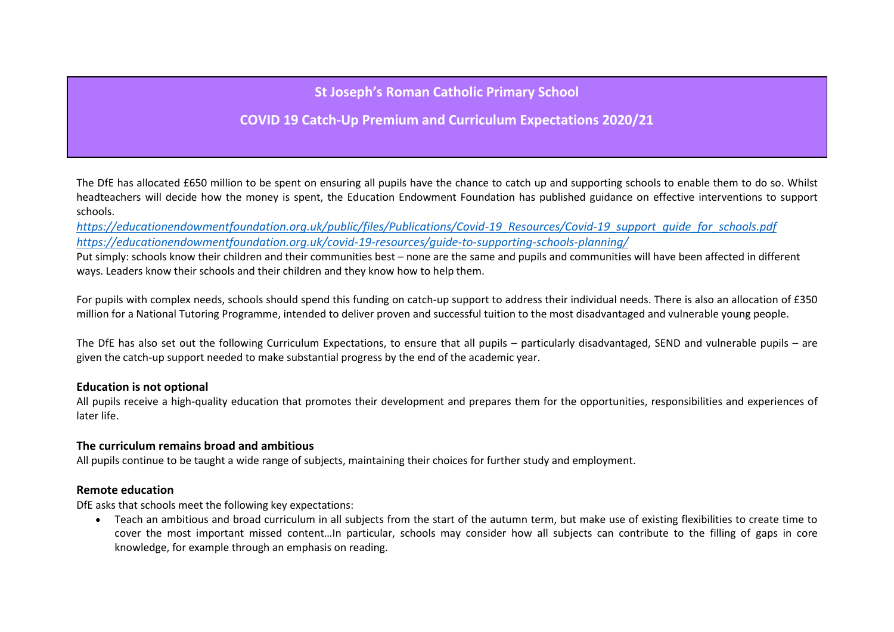**St Joseph's Roman Catholic Primary School**

**COVID 19 Catch-Up Premium and Curriculum Expectations 2020/21**

The DfE has allocated £650 million to be spent on ensuring all pupils have the chance to catch up and supporting schools to enable them to do so. Whilst headteachers will decide how the money is spent, the Education Endowment Foundation has published guidance on effective interventions to support schools.

*[https://educationendowmentfoundation.org.uk/public/files/Publications/Covid-19\\_Resources/Covid-19\\_support\\_guide\\_for\\_schools.pdf](https://educationendowmentfoundation.org.uk/public/files/Publications/Covid-19_Resources/Covid-19_support_guide_for_schools.pdf) <https://educationendowmentfoundation.org.uk/covid-19-resources/guide-to-supporting-schools-planning/>*

Put simply: schools know their children and their communities best – none are the same and pupils and communities will have been affected in different ways. Leaders know their schools and their children and they know how to help them.

For pupils with complex needs, schools should spend this funding on catch-up support to address their individual needs. There is also an allocation of £350 million for a National Tutoring Programme, intended to deliver proven and successful tuition to the most disadvantaged and vulnerable young people.

The DfE has also set out the following Curriculum Expectations, to ensure that all pupils – particularly disadvantaged, SEND and vulnerable pupils – are given the catch-up support needed to make substantial progress by the end of the academic year.

### **Education is not optional**

All pupils receive a high-quality education that promotes their development and prepares them for the opportunities, responsibilities and experiences of later life.

### **The curriculum remains broad and ambitious**

All pupils continue to be taught a wide range of subjects, maintaining their choices for further study and employment.

### **Remote education**

DfE asks that schools meet the following key expectations:

 Teach an ambitious and broad curriculum in all subjects from the start of the autumn term, but make use of existing flexibilities to create time to cover the most important missed content…In particular, schools may consider how all subjects can contribute to the filling of gaps in core knowledge, for example through an emphasis on reading.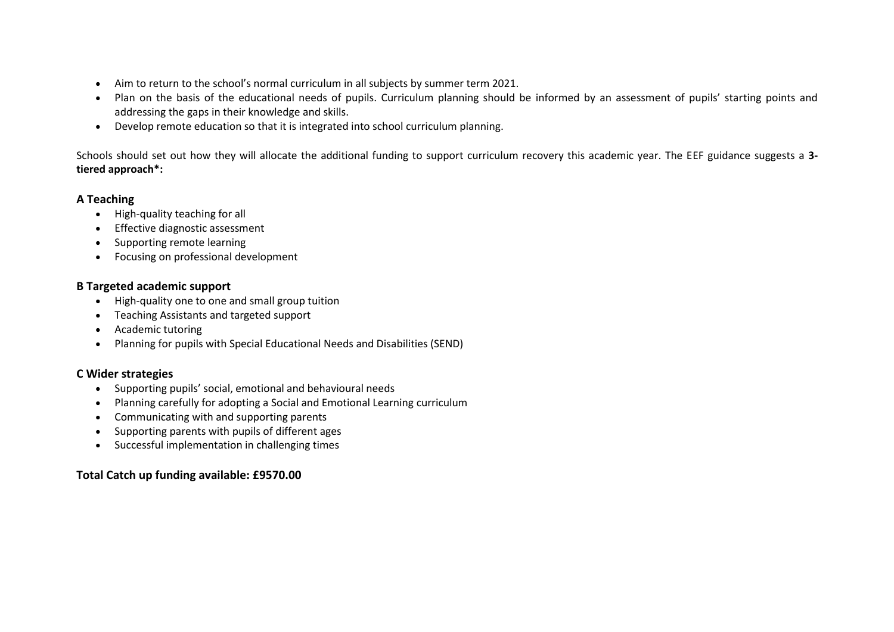- Aim to return to the school's normal curriculum in all subjects by summer term 2021.
- Plan on the basis of the educational needs of pupils. Curriculum planning should be informed by an assessment of pupils' starting points and addressing the gaps in their knowledge and skills.
- Develop remote education so that it is integrated into school curriculum planning.

Schools should set out how they will allocate the additional funding to support curriculum recovery this academic year. The EEF guidance suggests a **3 tiered approach\*:**

# **A Teaching**

- High-quality teaching for all
- Effective diagnostic assessment
- Supporting remote learning
- Focusing on professional development

# **B Targeted academic support**

- High-quality one to one and small group tuition
- Teaching Assistants and targeted support
- Academic tutoring
- Planning for pupils with Special Educational Needs and Disabilities (SEND)

# **C Wider strategies**

- Supporting pupils' social, emotional and behavioural needs
- Planning carefully for adopting a Social and Emotional Learning curriculum
- Communicating with and supporting parents
- Supporting parents with pupils of different ages
- Successful implementation in challenging times

# **Total Catch up funding available: £9570.00**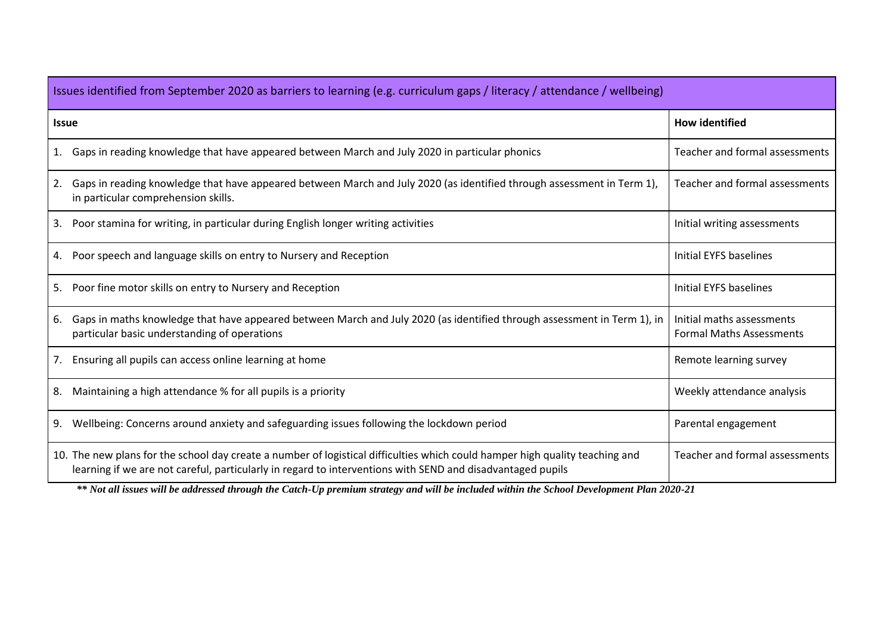| Issues identified from September 2020 as barriers to learning (e.g. curriculum gaps / literacy / attendance / wellbeing)                                                                                                                   |                                                              |  |  |  |  |  |
|--------------------------------------------------------------------------------------------------------------------------------------------------------------------------------------------------------------------------------------------|--------------------------------------------------------------|--|--|--|--|--|
| <b>Issue</b>                                                                                                                                                                                                                               | <b>How identified</b>                                        |  |  |  |  |  |
| Gaps in reading knowledge that have appeared between March and July 2020 in particular phonics<br>1.                                                                                                                                       | Teacher and formal assessments                               |  |  |  |  |  |
| Gaps in reading knowledge that have appeared between March and July 2020 (as identified through assessment in Term 1),<br>2.<br>in particular comprehension skills.                                                                        | Teacher and formal assessments                               |  |  |  |  |  |
| Poor stamina for writing, in particular during English longer writing activities<br>3.                                                                                                                                                     | Initial writing assessments                                  |  |  |  |  |  |
| Poor speech and language skills on entry to Nursery and Reception<br>4.                                                                                                                                                                    | <b>Initial EYFS baselines</b>                                |  |  |  |  |  |
| Poor fine motor skills on entry to Nursery and Reception<br>5.                                                                                                                                                                             | Initial EYFS baselines                                       |  |  |  |  |  |
| Gaps in maths knowledge that have appeared between March and July 2020 (as identified through assessment in Term 1), in<br>6.<br>particular basic understanding of operations                                                              | Initial maths assessments<br><b>Formal Maths Assessments</b> |  |  |  |  |  |
| Ensuring all pupils can access online learning at home<br>7.                                                                                                                                                                               | Remote learning survey                                       |  |  |  |  |  |
| Maintaining a high attendance % for all pupils is a priority<br>8.                                                                                                                                                                         | Weekly attendance analysis                                   |  |  |  |  |  |
| Wellbeing: Concerns around anxiety and safeguarding issues following the lockdown period<br>9.                                                                                                                                             | Parental engagement                                          |  |  |  |  |  |
| 10. The new plans for the school day create a number of logistical difficulties which could hamper high quality teaching and<br>learning if we are not careful, particularly in regard to interventions with SEND and disadvantaged pupils | Teacher and formal assessments                               |  |  |  |  |  |

*\*\* Not all issues will be addressed through the Catch-Up premium strategy and will be included within the School Development Plan 2020-21*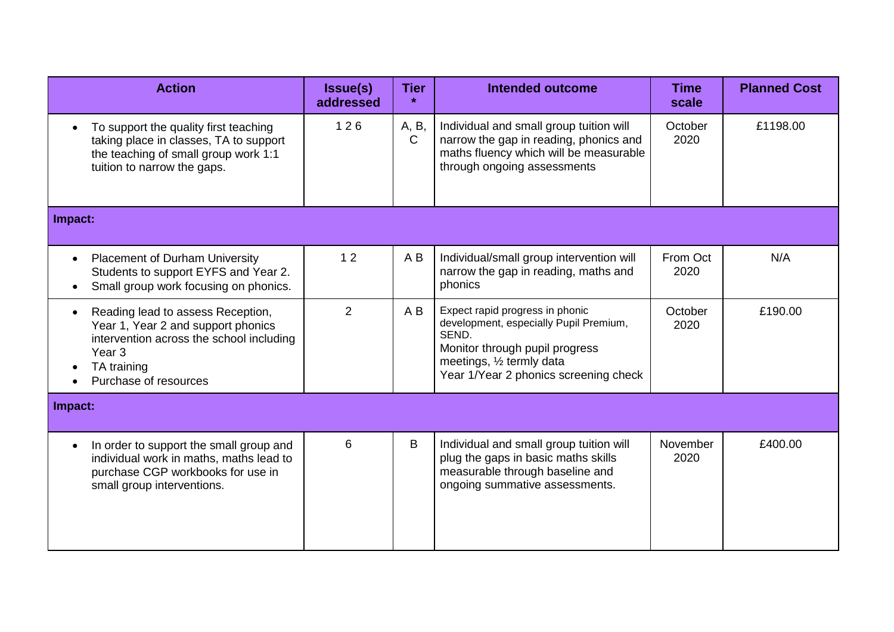| <b>Action</b>                                                                                                                                                                                 | <b>Issue(s)</b><br>addressed | <b>Tier</b>    | <b>Intended outcome</b>                                                                                                                                                                    | <b>Time</b><br>scale | <b>Planned Cost</b> |
|-----------------------------------------------------------------------------------------------------------------------------------------------------------------------------------------------|------------------------------|----------------|--------------------------------------------------------------------------------------------------------------------------------------------------------------------------------------------|----------------------|---------------------|
| To support the quality first teaching<br>$\bullet$<br>taking place in classes, TA to support<br>the teaching of small group work 1:1<br>tuition to narrow the gaps.                           | 126                          | A, B,<br>C     | Individual and small group tuition will<br>narrow the gap in reading, phonics and<br>maths fluency which will be measurable<br>through ongoing assessments                                 | October<br>2020      | £1198.00            |
| Impact:                                                                                                                                                                                       |                              |                |                                                                                                                                                                                            |                      |                     |
| <b>Placement of Durham University</b><br>$\bullet$<br>Students to support EYFS and Year 2.<br>Small group work focusing on phonics.<br>$\bullet$                                              | 12                           | AB             | Individual/small group intervention will<br>narrow the gap in reading, maths and<br>phonics                                                                                                | From Oct<br>2020     | N/A                 |
| Reading lead to assess Reception,<br>$\bullet$<br>Year 1, Year 2 and support phonics<br>intervention across the school including<br>Year <sub>3</sub><br>TA training<br>Purchase of resources | $\overline{2}$               | A <sub>B</sub> | Expect rapid progress in phonic<br>development, especially Pupil Premium,<br>SEND.<br>Monitor through pupil progress<br>meetings, 1/2 termly data<br>Year 1/Year 2 phonics screening check | October<br>2020      | £190.00             |
| Impact:                                                                                                                                                                                       |                              |                |                                                                                                                                                                                            |                      |                     |
| In order to support the small group and<br>$\bullet$<br>individual work in maths, maths lead to<br>purchase CGP workbooks for use in<br>small group interventions.                            | 6                            | B              | Individual and small group tuition will<br>plug the gaps in basic maths skills<br>measurable through baseline and<br>ongoing summative assessments.                                        | November<br>2020     | £400.00             |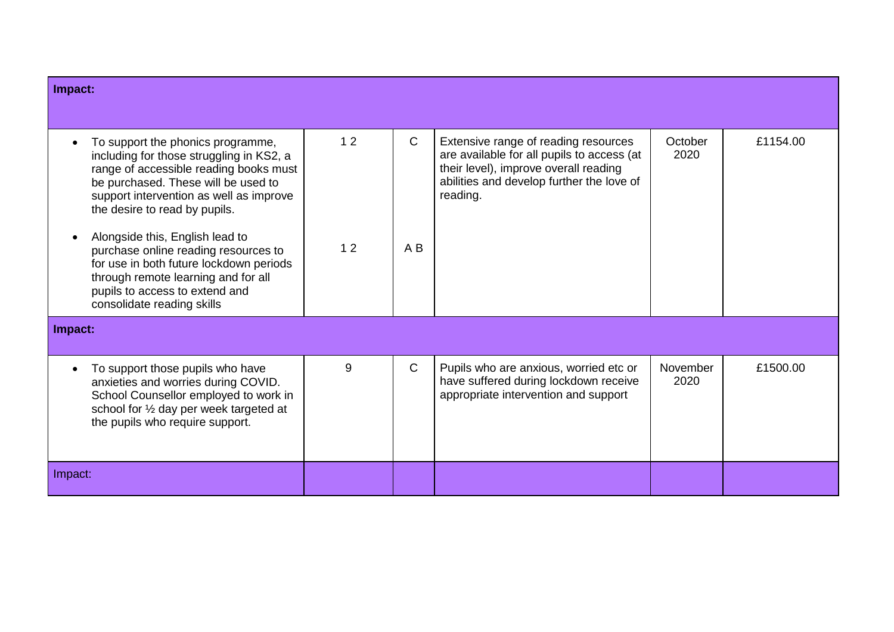| Impact:                                                                                                                                                                                                                                                                                                                                                                                                                                                                 |          |                    |                                                                                                                                                                                      |                  |          |
|-------------------------------------------------------------------------------------------------------------------------------------------------------------------------------------------------------------------------------------------------------------------------------------------------------------------------------------------------------------------------------------------------------------------------------------------------------------------------|----------|--------------------|--------------------------------------------------------------------------------------------------------------------------------------------------------------------------------------|------------------|----------|
|                                                                                                                                                                                                                                                                                                                                                                                                                                                                         |          |                    |                                                                                                                                                                                      |                  |          |
| To support the phonics programme,<br>including for those struggling in KS2, a<br>range of accessible reading books must<br>be purchased. These will be used to<br>support intervention as well as improve<br>the desire to read by pupils.<br>Alongside this, English lead to<br>purchase online reading resources to<br>for use in both future lockdown periods<br>through remote learning and for all<br>pupils to access to extend and<br>consolidate reading skills | 12<br>12 | $\mathsf{C}$<br>AB | Extensive range of reading resources<br>are available for all pupils to access (at<br>their level), improve overall reading<br>abilities and develop further the love of<br>reading. | October<br>2020  | £1154.00 |
| Impact:                                                                                                                                                                                                                                                                                                                                                                                                                                                                 |          |                    |                                                                                                                                                                                      |                  |          |
| To support those pupils who have<br>anxieties and worries during COVID.<br>School Counsellor employed to work in<br>school for 1/2 day per week targeted at<br>the pupils who require support.                                                                                                                                                                                                                                                                          | 9        | $\mathsf{C}$       | Pupils who are anxious, worried etc or<br>have suffered during lockdown receive<br>appropriate intervention and support                                                              | November<br>2020 | £1500.00 |
| Impact:                                                                                                                                                                                                                                                                                                                                                                                                                                                                 |          |                    |                                                                                                                                                                                      |                  |          |